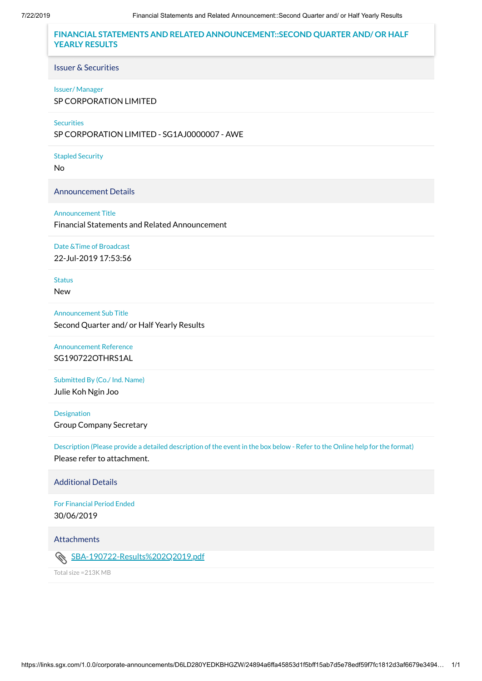**FINANCIAL STATEMENTS AND RELATED ANNOUNCEMENT::SECOND QUARTER AND/ OR HALF YEARLY RESULTS**

Issuer & Securities

#### Issuer/ Manager

SP CORPORATION LIMITED

#### **Securities**

SP CORPORATION LIMITED - SG1AJ0000007 - AWE

Stapled Security

No

Announcement Details

#### Announcement Title

Financial Statements and Related Announcement

# Date &Time of Broadcast

22-Jul-2019 17:53:56

**Status** 

New

#### Announcement Sub Title

Second Quarter and/ or Half Yearly Results

# Announcement Reference SG190722OTHRS1AL

Submitted By (Co./ Ind. Name)

Julie Koh Ngin Joo

#### Designation

Group Company Secretary

Description (Please provide a detailed description of the event in the box below - Refer to the Online help for the format) Please refer to attachment.

Additional Details

For Financial Period Ended 30/06/2019

Attachments

[SBA-190722-Results%202Q2019.pdf](https://links.sgx.com/1.0.0/corporate-announcements/D6LD280YEDKBHGZW/SBA-190722-Results%202Q2019.pdf)

Total size =213K MB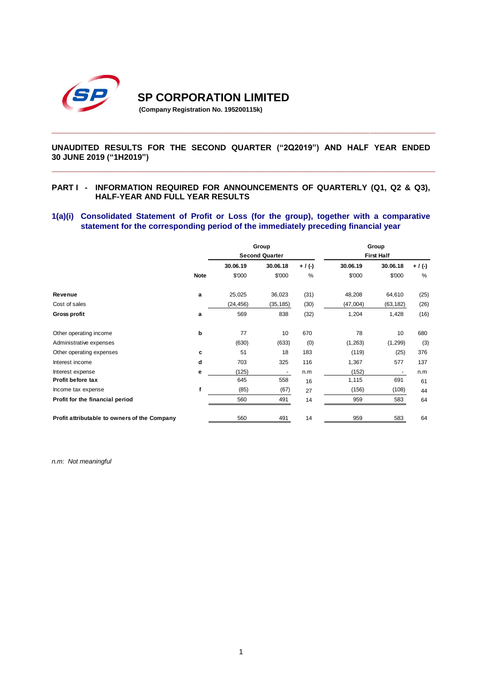

**SP CORPORATION LIMITED** 

**(Company Registration No. 195200115k)**

# **UNAUDITED RESULTS FOR THE SECOND QUARTER ("2Q2019") AND HALF YEAR ENDED 30 JUNE 2019 ("1H2019") \_\_\_\_\_\_\_\_\_\_\_\_\_\_\_\_\_\_\_\_\_\_\_\_\_\_\_\_\_\_\_\_\_\_\_\_\_\_\_\_\_\_\_\_\_\_\_\_\_\_\_\_\_\_\_\_\_\_\_\_\_\_\_\_\_\_\_\_\_\_\_**

**\_\_\_\_\_\_\_\_\_\_\_\_\_\_\_\_\_\_\_\_\_\_\_\_\_\_\_\_\_\_\_\_\_\_\_\_\_\_\_\_\_\_\_\_\_\_\_\_\_\_\_\_\_\_\_\_\_\_\_\_\_\_\_\_\_\_\_\_\_\_\_**

### **PART I - INFORMATION REQUIRED FOR ANNOUNCEMENTS OF QUARTERLY (Q1, Q2 & Q3), HALF-YEAR AND FULL YEAR RESULTS**

### **1(a)(i) Consolidated Statement of Profit or Loss (for the group), together with a comparative statement for the corresponding period of the immediately preceding financial year**

|                                              | Group                 |           |                          | Group       |                   |           |           |
|----------------------------------------------|-----------------------|-----------|--------------------------|-------------|-------------------|-----------|-----------|
|                                              | <b>Second Quarter</b> |           |                          |             | <b>First Half</b> |           |           |
|                                              |                       | 30.06.19  | 30.06.18                 | $+ / ( - )$ | 30.06.19          | 30.06.18  | $+$ / (-) |
|                                              | <b>Note</b>           | \$'000    | \$'000                   | %           | \$'000            | \$'000    | %         |
| Revenue                                      | a                     | 25,025    | 36,023                   | (31)        | 48,208            | 64,610    | (25)      |
| Cost of sales                                |                       | (24, 456) | (35, 185)                | (30)        | (47,004)          | (63, 182) | (26)      |
| <b>Gross profit</b>                          | a                     | 569       | 838                      | (32)        | 1,204             | 1,428     | (16)      |
| Other operating income                       | p                     | 77        | 10                       | 670         | 78                | 10        | 680       |
| Administrative expenses                      |                       | (630)     | (633)                    | (0)         | (1, 263)          | (1,299)   | (3)       |
| Other operating expenses                     | c                     | 51        | 18                       | 183         | (119)             | (25)      | 376       |
| Interest income                              | d                     | 703       | 325                      | 116         | 1,367             | 577       | 137       |
| Interest expense                             | е                     | (125)     | $\overline{\phantom{a}}$ | n.m         | (152)             |           | n.m       |
| Profit before tax                            |                       | 645       | 558                      | 16          | 1,115             | 691       | 61        |
| Income tax expense                           |                       | (85)      | (67)                     | 27          | (156)             | (108)     | 44        |
| Profit for the financial period              |                       | 560       | 491                      | 14          | 959               | 583       | 64        |
| Profit attributable to owners of the Company |                       | 560       | 491                      | 14          | 959               | 583       | 64        |

*n.m: Not meaningful*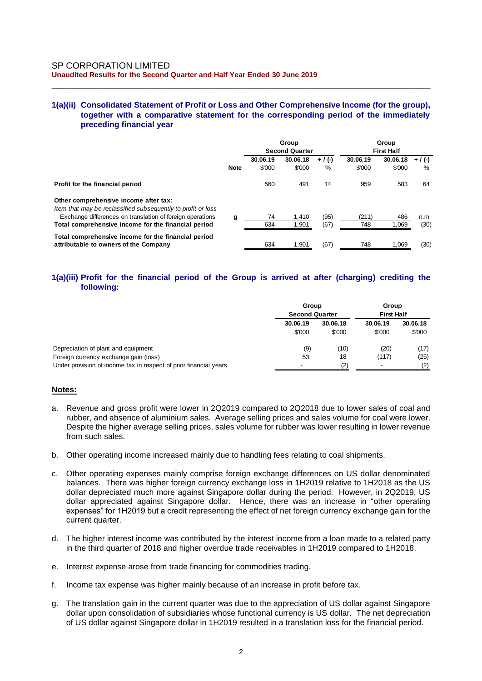# **1(a)(ii) Consolidated Statement of Profit or Loss and Other Comprehensive Income (for the group), together with a comparative statement for the corresponding period of the immediately preceding financial year**

\_\_\_\_\_\_\_\_\_\_\_\_\_\_\_\_\_\_\_\_\_\_\_\_\_\_\_\_\_\_\_\_\_\_\_\_\_\_\_\_\_\_\_\_\_\_\_\_\_\_\_\_\_\_\_\_\_\_\_\_\_\_\_\_\_\_\_\_\_\_\_\_\_\_\_\_\_\_

|                                                                                                       |             | Group<br><b>Second Quarter</b> |                    |                | Group<br><b>First Half</b> |                    |                |
|-------------------------------------------------------------------------------------------------------|-------------|--------------------------------|--------------------|----------------|----------------------------|--------------------|----------------|
|                                                                                                       | <b>Note</b> | 30.06.19<br>\$'000             | 30.06.18<br>\$'000 | $+$ / (-)<br>% | 30.06.19<br>\$'000         | 30.06.18<br>\$'000 | $+$ / (-)<br>% |
| Profit for the financial period                                                                       |             | 560                            | 491                | 14             | 959                        | 583                | 64             |
| Other comprehensive income after tax:<br>Item that may be reclassified subsequently to profit or loss |             |                                |                    |                |                            |                    |                |
| Exchange differences on translation of foreign operations                                             | g           | 74                             | 1.410              | (95)           | (211)                      | 486                | n.m            |
| Total comprehensive income for the financial period                                                   |             | 634                            | 1,901              | (67)           | 748                        | 1,069              | (30)           |
| Total comprehensive income for the financial period<br>attributable to owners of the Company          |             | 634                            | 1.901              | (67)           | 748                        | 1.069              | (30)           |

# **1(a)(iii) Profit for the financial period of the Group is arrived at after (charging) crediting the following:**

|                                                                   | Group<br><b>Second Quarter</b> |                    | Group<br><b>First Half</b> |                    |
|-------------------------------------------------------------------|--------------------------------|--------------------|----------------------------|--------------------|
|                                                                   | 30.06.19<br>\$'000             | 30.06.18<br>\$'000 | 30.06.19<br>\$'000         | 30.06.18<br>\$'000 |
| Depreciation of plant and equipment                               | (9)                            | (10)               | (20)                       | (17)               |
| Foreign currency exchange gain (loss)                             | 53                             | 18                 | (117)                      | (25)               |
| Under provision of income tax in respect of prior financial years |                                |                    |                            | (2)                |

#### **Notes:**

- a. Revenue and gross profit were lower in 2Q2019 compared to 2Q2018 due to lower sales of coal and rubber, and absence of aluminium sales. Average selling prices and sales volume for coal were lower. Despite the higher average selling prices, sales volume for rubber was lower resulting in lower revenue from such sales.
- b. Other operating income increased mainly due to handling fees relating to coal shipments.
- c. Other operating expenses mainly comprise foreign exchange differences on US dollar denominated balances. There was higher foreign currency exchange loss in 1H2019 relative to 1H2018 as the US dollar depreciated much more against Singapore dollar during the period. However, in 2Q2019, US dollar appreciated against Singapore dollar. Hence, there was an increase in "other operating expenses" for 1H2019 but a credit representing the effect of net foreign currency exchange gain for the current quarter.
- d. The higher interest income was contributed by the interest income from a loan made to a related party in the third quarter of 2018 and higher overdue trade receivables in 1H2019 compared to 1H2018.
- e. Interest expense arose from trade financing for commodities trading.
- f. Income tax expense was higher mainly because of an increase in profit before tax.
- g. The translation gain in the current quarter was due to the appreciation of US dollar against Singapore dollar upon consolidation of subsidiaries whose functional currency is US dollar. The net depreciation of US dollar against Singapore dollar in 1H2019 resulted in a translation loss for the financial period.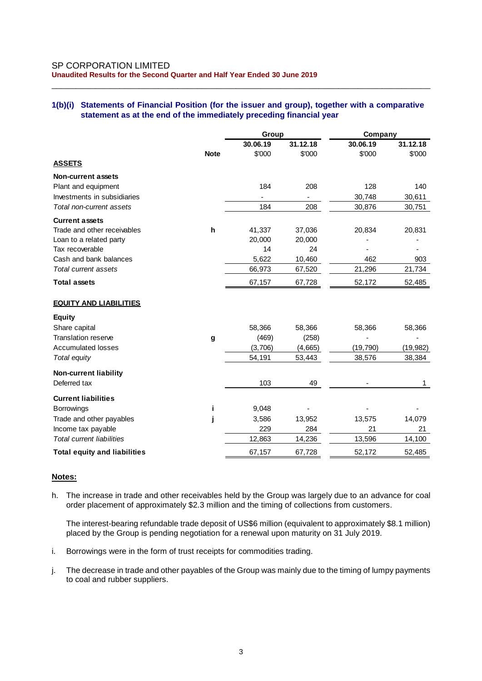### SP CORPORATION LIMITED **Unaudited Results for the Second Quarter and Half Year Ended 30 June 2019**

# **1(b)(i) Statements of Financial Position (for the issuer and group), together with a comparative statement as at the end of the immediately preceding financial year**

\_\_\_\_\_\_\_\_\_\_\_\_\_\_\_\_\_\_\_\_\_\_\_\_\_\_\_\_\_\_\_\_\_\_\_\_\_\_\_\_\_\_\_\_\_\_\_\_\_\_\_\_\_\_\_\_\_\_\_\_\_\_\_\_\_\_\_\_\_\_\_\_\_\_\_\_\_\_

|                                     |             | Group    |          | Company   |           |  |
|-------------------------------------|-------------|----------|----------|-----------|-----------|--|
|                                     |             | 30.06.19 | 31.12.18 | 30.06.19  | 31.12.18  |  |
|                                     | <b>Note</b> | \$'000   | \$'000   | \$'000    | \$'000    |  |
| <b>ASSETS</b>                       |             |          |          |           |           |  |
| Non-current assets                  |             |          |          |           |           |  |
| Plant and equipment                 |             | 184      | 208      | 128       | 140       |  |
| Investments in subsidiaries         |             |          |          | 30,748    | 30,611    |  |
| Total non-current assets            |             | 184      | 208      | 30,876    | 30,751    |  |
| <b>Current assets</b>               |             |          |          |           |           |  |
| Trade and other receivables         | h           | 41,337   | 37,036   | 20,834    | 20,831    |  |
| Loan to a related party             |             | 20,000   | 20,000   |           |           |  |
| Tax recoverable                     |             | 14       | 24       |           |           |  |
| Cash and bank balances              |             | 5,622    | 10,460   | 462       | 903       |  |
| Total current assets                |             | 66,973   | 67,520   | 21,296    | 21,734    |  |
| <b>Total assets</b>                 |             | 67,157   | 67,728   | 52,172    | 52,485    |  |
| <b>EQUITY AND LIABILITIES</b>       |             |          |          |           |           |  |
| <b>Equity</b>                       |             |          |          |           |           |  |
| Share capital                       |             | 58,366   | 58,366   | 58,366    | 58,366    |  |
| <b>Translation reserve</b>          | g           | (469)    | (258)    |           |           |  |
| <b>Accumulated losses</b>           |             | (3,706)  | (4,665)  | (19, 790) | (19, 982) |  |
| Total equity                        |             | 54,191   | 53,443   | 38,576    | 38,384    |  |
| <b>Non-current liability</b>        |             |          |          |           |           |  |
| Deferred tax                        |             | 103      | 49       |           | 1         |  |
| <b>Current liabilities</b>          |             |          |          |           |           |  |
| Borrowings                          |             | 9,048    |          |           |           |  |
| Trade and other payables            |             | 3,586    | 13,952   | 13,575    | 14,079    |  |
| Income tax payable                  |             | 229      | 284      | 21        | 21        |  |
| <b>Total current liabilities</b>    |             | 12,863   | 14,236   | 13,596    | 14,100    |  |
| <b>Total equity and liabilities</b> |             | 67,157   | 67,728   | 52,172    | 52,485    |  |

### **Notes:**

h. The increase in trade and other receivables held by the Group was largely due to an advance for coal order placement of approximately \$2.3 million and the timing of collections from customers.

The interest-bearing refundable trade deposit of US\$6 million (equivalent to approximately \$8.1 million) placed by the Group is pending negotiation for a renewal upon maturity on 31 July 2019.

- i. Borrowings were in the form of trust receipts for commodities trading.
- j. The decrease in trade and other payables of the Group was mainly due to the timing of lumpy payments to coal and rubber suppliers.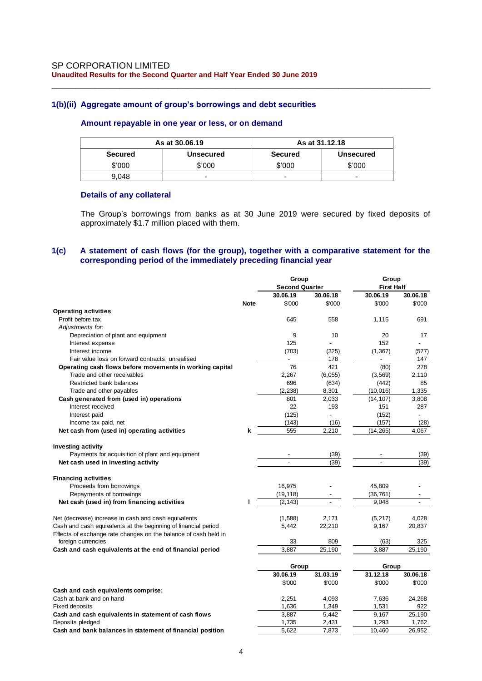## **1(b)(ii) Aggregate amount of group's borrowings and debt securities**

#### **Amount repayable in one year or less, or on demand**

|                | As at 30.06.19   | As at 31.12.18 |                  |  |  |
|----------------|------------------|----------------|------------------|--|--|
| <b>Secured</b> | <b>Unsecured</b> | <b>Secured</b> | <b>Unsecured</b> |  |  |
| \$'000         | \$'000           | \$'000         | \$'000           |  |  |
| 9.048          | -                | -              | -                |  |  |

\_\_\_\_\_\_\_\_\_\_\_\_\_\_\_\_\_\_\_\_\_\_\_\_\_\_\_\_\_\_\_\_\_\_\_\_\_\_\_\_\_\_\_\_\_\_\_\_\_\_\_\_\_\_\_\_\_\_\_\_\_\_\_\_\_\_\_\_\_\_\_\_\_\_\_\_\_\_

#### **Details of any collateral**

The Group's borrowings from banks as at 30 June 2019 were secured by fixed deposits of approximately \$1.7 million placed with them.

# **1(c) A statement of cash flows (for the group), together with a comparative statement for the corresponding period of the immediately preceding financial year**

|                                                                 |             | Group<br><b>Second Quarter</b> |                | Group<br><b>First Half</b> |                |  |
|-----------------------------------------------------------------|-------------|--------------------------------|----------------|----------------------------|----------------|--|
|                                                                 |             | 30.06.19                       | 30.06.18       | 30.06.19                   | 30.06.18       |  |
|                                                                 | <b>Note</b> | \$'000                         | \$'000         | \$'000                     | \$'000         |  |
| <b>Operating activities</b>                                     |             |                                |                |                            |                |  |
| Profit before tax                                               |             | 645                            | 558            | 1,115                      | 691            |  |
| Adjustments for:                                                |             |                                |                |                            |                |  |
|                                                                 |             | 9                              | 10             | 20                         | 17             |  |
| Depreciation of plant and equipment                             |             | 125                            |                | 152                        |                |  |
| Interest expense<br>Interest income                             |             | (703)                          | (325)          | (1, 367)                   |                |  |
|                                                                 |             |                                |                |                            | (577)          |  |
| Fair value loss on forward contracts, unrealised                |             |                                | 178            |                            | 147            |  |
| Operating cash flows before movements in working capital        |             | 76                             | 421            | (80)                       | 278            |  |
| Trade and other receivables                                     |             | 2,267                          | (6,055)        | (3, 569)                   | 2,110          |  |
| Restricted bank balances                                        |             | 696                            | (634)          | (442)                      | 85             |  |
| Trade and other payables                                        |             | (2, 238)                       | 8,301          | (10, 016)                  | 1,335          |  |
| Cash generated from (used in) operations                        |             | 801                            | 2,033          | (14, 107)                  | 3,808          |  |
| Interest received                                               |             | 22                             | 193            | 151                        | 287            |  |
| Interest paid                                                   |             | (125)                          |                | (152)                      |                |  |
| Income tax paid, net                                            |             | (143)                          | (16)           | (157)                      | (28)           |  |
| Net cash from (used in) operating activities                    | k           | 555                            | 2,210          | (14, 265)                  | 4,067          |  |
| Investing activity                                              |             |                                |                |                            |                |  |
| Payments for acquisition of plant and equipment                 |             |                                | (39)           |                            | (39)           |  |
| Net cash used in investing activity                             |             |                                | (39)           |                            | (39)           |  |
| <b>Financing activities</b>                                     |             |                                |                |                            |                |  |
| Proceeds from borrowings                                        |             | 16,975                         |                | 45,809                     |                |  |
| Repayments of borrowings                                        |             | (19, 118)                      |                | (36, 761)                  |                |  |
| Net cash (used in) from financing activities                    |             | (2, 143)                       | $\blacksquare$ | 9.048                      | $\overline{a}$ |  |
| Net (decrease) increase in cash and cash equivalents            |             | (1,588)                        | 2,171          | (5, 217)                   | 4,028          |  |
| Cash and cash equivalents at the beginning of financial period  |             | 5,442                          | 22,210         | 9,167                      | 20,837         |  |
| Effects of exchange rate changes on the balance of cash held in |             |                                |                |                            |                |  |
| foreign currencies                                              |             | 33                             | 809            | (63)                       | 325            |  |
| Cash and cash equivalents at the end of financial period        |             | 3,887                          | 25,190         | 3,887                      | 25,190         |  |
|                                                                 |             |                                |                |                            |                |  |
|                                                                 |             | Group                          |                | Group                      |                |  |
|                                                                 |             | 30.06.19                       | 31.03.19       | 31.12.18                   | 30.06.18       |  |
|                                                                 |             | \$'000                         | \$'000         | \$'000                     | \$'000         |  |
| Cash and cash equivalents comprise:                             |             |                                |                |                            |                |  |
| Cash at bank and on hand                                        |             | 2,251                          | 4,093          | 7,636                      | 24,268         |  |
| <b>Fixed deposits</b>                                           |             | 1,636                          | 1,349          | 1,531                      | 922            |  |
| Cash and cash equivalents in statement of cash flows            |             | 3,887                          | 5,442          | 9,167                      | 25,190         |  |
| Deposits pledged                                                |             | 1,735                          | 2,431          | 1,293                      | 1,762          |  |
| Cash and bank balances in statement of financial position       |             | 5,622                          | 7,873          | 10,460                     | 26,952         |  |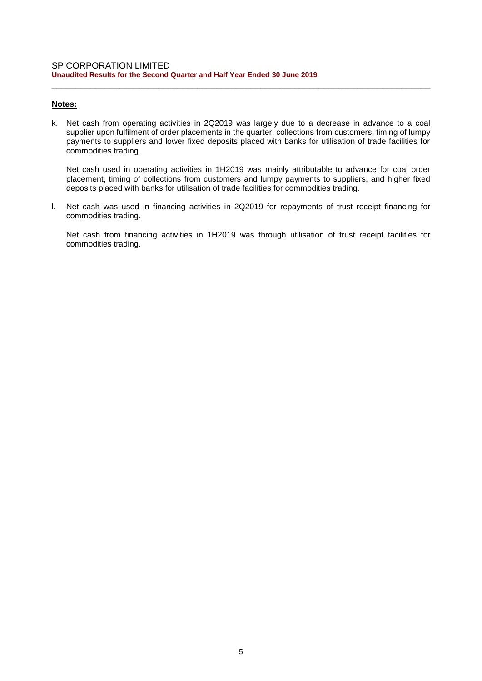# **Notes:**

k. Net cash from operating activities in 2Q2019 was largely due to a decrease in advance to a coal supplier upon fulfilment of order placements in the quarter, collections from customers, timing of lumpy payments to suppliers and lower fixed deposits placed with banks for utilisation of trade facilities for commodities trading.

\_\_\_\_\_\_\_\_\_\_\_\_\_\_\_\_\_\_\_\_\_\_\_\_\_\_\_\_\_\_\_\_\_\_\_\_\_\_\_\_\_\_\_\_\_\_\_\_\_\_\_\_\_\_\_\_\_\_\_\_\_\_\_\_\_\_\_\_\_\_\_\_\_\_\_\_\_\_

Net cash used in operating activities in 1H2019 was mainly attributable to advance for coal order placement, timing of collections from customers and lumpy payments to suppliers, and higher fixed deposits placed with banks for utilisation of trade facilities for commodities trading.

l. Net cash was used in financing activities in 2Q2019 for repayments of trust receipt financing for commodities trading.

Net cash from financing activities in 1H2019 was through utilisation of trust receipt facilities for commodities trading.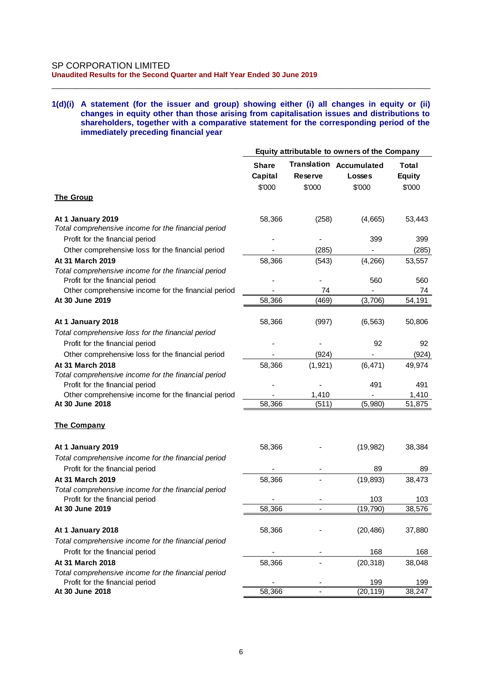#### **1(d)(i) A statement (for the issuer and group) showing either (i) all changes in equity or (ii) changes in equity other than those arising from capitalisation issues and distributions to shareholders, together with a comparative statement for the corresponding period of the immediately preceding financial year**

\_\_\_\_\_\_\_\_\_\_\_\_\_\_\_\_\_\_\_\_\_\_\_\_\_\_\_\_\_\_\_\_\_\_\_\_\_\_\_\_\_\_\_\_\_\_\_\_\_\_\_\_\_\_\_\_\_\_\_\_\_\_\_\_\_\_\_\_\_\_\_\_\_\_\_\_\_\_

|                                                                        |                                   |                   | Equity attributable to owners of the Company              |                                         |
|------------------------------------------------------------------------|-----------------------------------|-------------------|-----------------------------------------------------------|-----------------------------------------|
|                                                                        | <b>Share</b><br>Capital<br>\$'000 | Reserve<br>\$'000 | <b>Translation Accumulated</b><br><b>Losses</b><br>\$'000 | <b>Total</b><br><b>Equity</b><br>\$'000 |
| <b>The Group</b>                                                       |                                   |                   |                                                           |                                         |
| At 1 January 2019                                                      | 58,366                            | (258)             | (4,665)                                                   | 53,443                                  |
| Total comprehensive income for the financial period                    |                                   |                   |                                                           |                                         |
| Profit for the financial period                                        |                                   |                   | 399                                                       | 399                                     |
| Other comprehensive loss for the financial period                      |                                   | (285)             |                                                           | (285)                                   |
| At 31 March 2019                                                       | 58,366                            | (543)             | (4, 266)                                                  | 53,557                                  |
| Total comprehensive income for the financial period                    |                                   |                   |                                                           |                                         |
| Profit for the financial period                                        |                                   | 74                | 560                                                       | 560<br>74                               |
| Other comprehensive income for the financial period<br>At 30 June 2019 | 58,366                            | (469)             | (3,706)                                                   | 54,191                                  |
| At 1 January 2018                                                      | 58,366                            | (997)             | (6, 563)                                                  | 50,806                                  |
| Total comprehensive loss for the financial period                      |                                   |                   |                                                           |                                         |
| Profit for the financial period                                        |                                   |                   | 92                                                        | 92                                      |
| Other comprehensive loss for the financial period                      |                                   | (924)             |                                                           | (924)                                   |
| At 31 March 2018                                                       | 58,366                            | (1, 921)          | (6, 471)                                                  | 49,974                                  |
| Total comprehensive income for the financial period                    |                                   |                   |                                                           |                                         |
| Profit for the financial period                                        |                                   |                   | 491                                                       | 491                                     |
| Other comprehensive income for the financial period                    |                                   | 1,410             |                                                           | 1,410                                   |
| At 30 June 2018                                                        | 58,366                            | (511)             | (5,980)                                                   | 51,875                                  |
| <b>The Company</b>                                                     |                                   |                   |                                                           |                                         |
| At 1 January 2019                                                      | 58,366                            |                   | (19, 982)                                                 | 38,384                                  |
| Total comprehensive income for the financial period                    |                                   |                   |                                                           |                                         |
| Profit for the financial period                                        |                                   |                   | 89                                                        | 89                                      |
| At 31 March 2019                                                       | 58,366                            |                   | (19, 893)                                                 | 38,473                                  |
| Total comprehensive income for the financial period                    |                                   |                   |                                                           |                                         |
| Profit for the financial period<br>At 30 June 2019                     | 58,366                            |                   | 103                                                       | 103<br>38,576                           |
|                                                                        |                                   |                   | (19, 790)                                                 |                                         |
| At 1 January 2018                                                      | 58,366                            |                   | (20, 486)                                                 | 37,880                                  |
| Total comprehensive income for the financial period                    |                                   |                   |                                                           |                                         |
| Profit for the financial period                                        |                                   |                   | 168                                                       | 168                                     |
| At 31 March 2018                                                       | 58,366                            |                   | (20, 318)                                                 | 38,048                                  |
| Total comprehensive income for the financial period                    |                                   |                   |                                                           |                                         |
| Profit for the financial period                                        |                                   |                   | 199                                                       | 199                                     |
| At 30 June 2018                                                        | 58,366                            |                   | (20, 119)                                                 | 38,247                                  |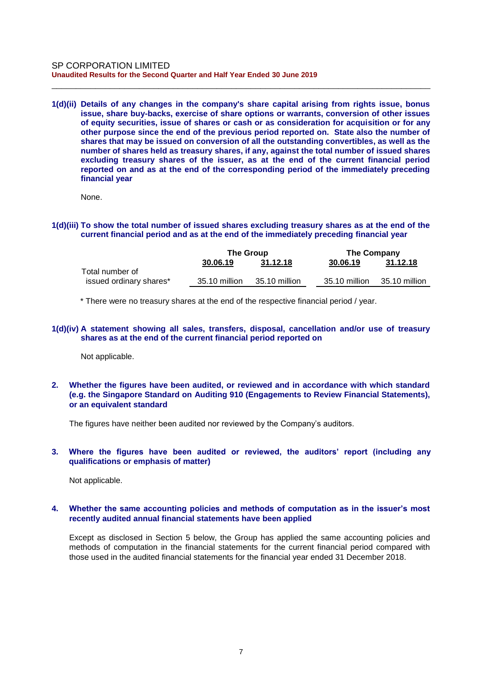**1(d)(ii) Details of any changes in the company's share capital arising from rights issue, bonus issue, share buy-backs, exercise of share options or warrants, conversion of other issues of equity securities, issue of shares or cash or as consideration for acquisition or for any other purpose since the end of the previous period reported on. State also the number of shares that may be issued on conversion of all the outstanding convertibles, as well as the number of shares held as treasury shares, if any, against the total number of issued shares excluding treasury shares of the issuer, as at the end of the current financial period reported on and as at the end of the corresponding period of the immediately preceding financial year**

\_\_\_\_\_\_\_\_\_\_\_\_\_\_\_\_\_\_\_\_\_\_\_\_\_\_\_\_\_\_\_\_\_\_\_\_\_\_\_\_\_\_\_\_\_\_\_\_\_\_\_\_\_\_\_\_\_\_\_\_\_\_\_\_\_\_\_\_\_\_\_\_\_\_\_\_\_\_

None.

**1(d)(iii) To show the total number of issued shares excluding treasury shares as at the end of the current financial period and as at the end of the immediately preceding financial year**

|                         | The Group     |               |  | <b>The Company</b> |               |  |
|-------------------------|---------------|---------------|--|--------------------|---------------|--|
|                         | 30.06.19      | 31.12.18      |  | 30.06.19           | 31.12.18      |  |
| Total number of         |               |               |  |                    |               |  |
| issued ordinary shares* | 35.10 million | 35.10 million |  | 35.10 million      | 35.10 million |  |

\* There were no treasury shares at the end of the respective financial period / year.

### **1(d)(iv) A statement showing all sales, transfers, disposal, cancellation and/or use of treasury shares as at the end of the current financial period reported on**

Not applicable.

**2. Whether the figures have been audited, or reviewed and in accordance with which standard (e.g. the Singapore Standard on Auditing 910 (Engagements to Review Financial Statements), or an equivalent standard**

The figures have neither been audited nor reviewed by the Company's auditors.

**3. Where the figures have been audited or reviewed, the auditors' report (including any qualifications or emphasis of matter)**

Not applicable.

# **4. Whether the same accounting policies and methods of computation as in the issuer's most recently audited annual financial statements have been applied**

Except as disclosed in Section 5 below, the Group has applied the same accounting policies and methods of computation in the financial statements for the current financial period compared with those used in the audited financial statements for the financial year ended 31 December 2018.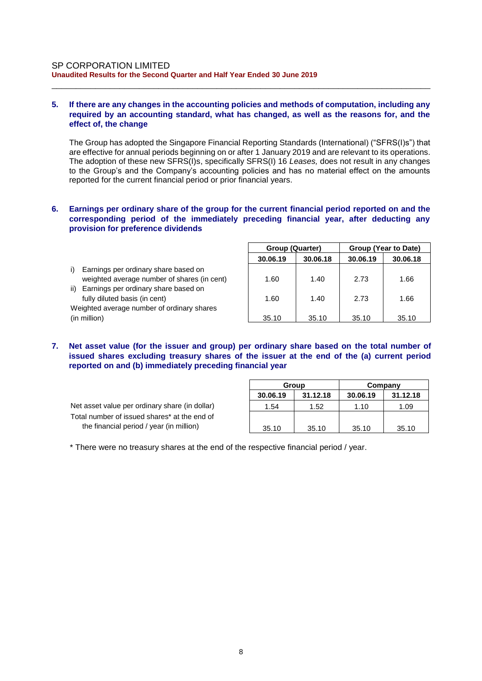## **5. If there are any changes in the accounting policies and methods of computation, including any required by an accounting standard, what has changed, as well as the reasons for, and the effect of, the change**

\_\_\_\_\_\_\_\_\_\_\_\_\_\_\_\_\_\_\_\_\_\_\_\_\_\_\_\_\_\_\_\_\_\_\_\_\_\_\_\_\_\_\_\_\_\_\_\_\_\_\_\_\_\_\_\_\_\_\_\_\_\_\_\_\_\_\_\_\_\_\_\_\_\_\_\_\_\_

The Group has adopted the Singapore Financial Reporting Standards (International) ("SFRS(I)s") that are effective for annual periods beginning on or after 1 January 2019 and are relevant to its operations. The adoption of these new SFRS(I)s, specifically SFRS(I) 16 *Leases,* does not result in any changes to the Group's and the Company's accounting policies and has no material effect on the amounts reported for the current financial period or prior financial years.

## **6. Earnings per ordinary share of the group for the current financial period reported on and the corresponding period of the immediately preceding financial year, after deducting any provision for preference dividends**

|                                                                                            | 30.06.19 | 30.06.18 | 30.06.19 | 30.06.18 |
|--------------------------------------------------------------------------------------------|----------|----------|----------|----------|
| i).<br>Earnings per ordinary share based on<br>weighted average number of shares (in cent) | 1.60     | 1.40     | 2.73     | 1.66     |
| ii) Earnings per ordinary share based on                                                   |          |          |          |          |
| fully diluted basis (in cent)<br>Weighted average number of ordinary shares                | 1.60     | 1.40     | 2.73     | 1.66     |
| (in million)                                                                               | 35.10    | 35.10    | 35.10    | 35.10    |

**7. Net asset value (for the issuer and group) per ordinary share based on the total number of issued shares excluding treasury shares of the issuer at the end of the (a) current period reported on and (b) immediately preceding financial year**

Net asset value per ordinary share (in dollar) Total number of issued shares\* at the end of the financial period / year (in million)

|          | Group    | Company  |          |  |  |
|----------|----------|----------|----------|--|--|
| 30.06.19 | 31.12.18 | 30.06.19 | 31.12.18 |  |  |
| 1.54     | 1.52     | 1.10     | 1.09     |  |  |
|          |          |          |          |  |  |
| 35.10    | 35.10    | 35.10    | 35.10    |  |  |

**Group (Quarter) Group (Year to Date)**

\* There were no treasury shares at the end of the respective financial period / year.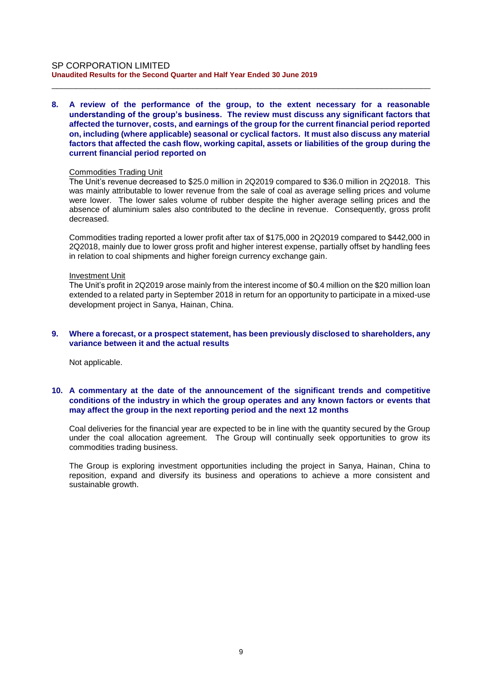#### SP CORPORATION LIMITED **Unaudited Results for the Second Quarter and Half Year Ended 30 June 2019**

**8. A review of the performance of the group, to the extent necessary for a reasonable understanding of the group's business. The review must discuss any significant factors that affected the turnover, costs, and earnings of the group for the current financial period reported on, including (where applicable) seasonal or cyclical factors. It must also discuss any material factors that affected the cash flow, working capital, assets or liabilities of the group during the current financial period reported on**

\_\_\_\_\_\_\_\_\_\_\_\_\_\_\_\_\_\_\_\_\_\_\_\_\_\_\_\_\_\_\_\_\_\_\_\_\_\_\_\_\_\_\_\_\_\_\_\_\_\_\_\_\_\_\_\_\_\_\_\_\_\_\_\_\_\_\_\_\_\_\_\_\_\_\_\_\_\_

#### Commodities Trading Unit

The Unit's revenue decreased to \$25.0 million in 2Q2019 compared to \$36.0 million in 2Q2018. This was mainly attributable to lower revenue from the sale of coal as average selling prices and volume were lower. The lower sales volume of rubber despite the higher average selling prices and the absence of aluminium sales also contributed to the decline in revenue. Consequently, gross profit decreased.

Commodities trading reported a lower profit after tax of \$175,000 in 2Q2019 compared to \$442,000 in 2Q2018, mainly due to lower gross profit and higher interest expense, partially offset by handling fees in relation to coal shipments and higher foreign currency exchange gain.

#### Investment Unit

The Unit's profit in 2Q2019 arose mainly from the interest income of \$0.4 million on the \$20 million loan extended to a related party in September 2018 in return for an opportunity to participate in a mixed-use development project in Sanya, Hainan, China.

### **9. Where a forecast, or a prospect statement, has been previously disclosed to shareholders, any variance between it and the actual results**

Not applicable.

# **10. A commentary at the date of the announcement of the significant trends and competitive conditions of the industry in which the group operates and any known factors or events that may affect the group in the next reporting period and the next 12 months**

Coal deliveries for the financial year are expected to be in line with the quantity secured by the Group under the coal allocation agreement. The Group will continually seek opportunities to grow its commodities trading business.

The Group is exploring investment opportunities including the project in Sanya, Hainan, China to reposition, expand and diversify its business and operations to achieve a more consistent and sustainable growth.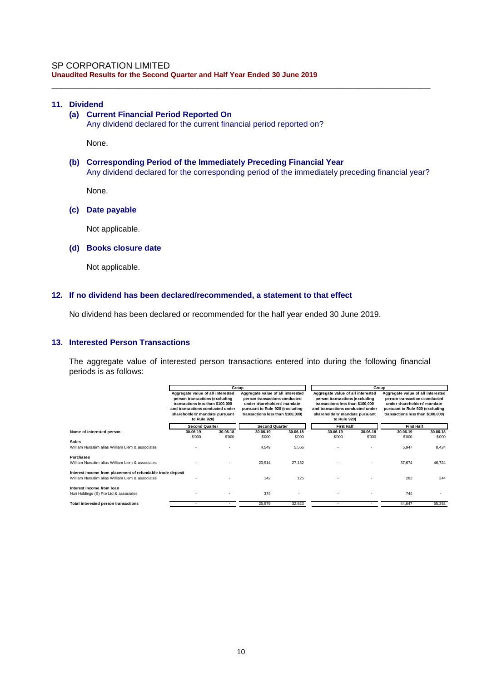# **11. Dividend**

# **(a) Current Financial Period Reported On**

Any dividend declared for the current financial period reported on?

None.

# **(b) Corresponding Period of the Immediately Preceding Financial Year** Any dividend declared for the corresponding period of the immediately preceding financial year?

\_\_\_\_\_\_\_\_\_\_\_\_\_\_\_\_\_\_\_\_\_\_\_\_\_\_\_\_\_\_\_\_\_\_\_\_\_\_\_\_\_\_\_\_\_\_\_\_\_\_\_\_\_\_\_\_\_\_\_\_\_\_\_\_\_\_\_\_\_\_\_\_\_\_\_\_\_\_

None.

## **(c) Date payable**

Not applicable.

#### **(d) Books closure date**

Not applicable.

#### **12. If no dividend has been declared/recommended, a statement to that effect**

No dividend has been declared or recommended for the half year ended 30 June 2019.

# **13. Interested Person Transactions**

The aggregate value of interested person transactions entered into during the following financial periods is as follows:

|                                                                                                                |                                                                                                                                                                                               | Group              |                                                                                                                                                                           |                    |                                                                                                                                                                                               |                    | Group                                                                                                                                                                     |                    |
|----------------------------------------------------------------------------------------------------------------|-----------------------------------------------------------------------------------------------------------------------------------------------------------------------------------------------|--------------------|---------------------------------------------------------------------------------------------------------------------------------------------------------------------------|--------------------|-----------------------------------------------------------------------------------------------------------------------------------------------------------------------------------------------|--------------------|---------------------------------------------------------------------------------------------------------------------------------------------------------------------------|--------------------|
|                                                                                                                | Aggregate value of all interested<br>person transactions (excluding<br>transactions less than \$100,000<br>and transactions conducted under<br>shareholders' mandate pursuant<br>to Rule 920) |                    | Aggregate value of all interested<br>person transactions conducted<br>under shareholders' mandate<br>pursuant to Rule 920 (excluding<br>transactions less than \$100,000) |                    | Aggregate value of all interested<br>person transactions (excluding<br>transactions less than \$100,000<br>and transactions conducted under<br>shareholders' mandate pursuant<br>to Rule 920) |                    | Aggregate value of all interested<br>person transactions conducted<br>under shareholders' mandate<br>pursuant to Rule 920 (excluding<br>transactions less than \$100,000) |                    |
|                                                                                                                | <b>Second Quarter</b>                                                                                                                                                                         |                    | <b>Second Quarter</b>                                                                                                                                                     |                    | <b>First Half</b>                                                                                                                                                                             |                    | <b>First Half</b>                                                                                                                                                         |                    |
| Name of interested person                                                                                      | 30.06.19<br>\$'000                                                                                                                                                                            | 30.06.18<br>\$'000 | 30.06.19<br>\$'000                                                                                                                                                        | 30.06.18<br>\$'000 | 30.06.19<br>\$'000                                                                                                                                                                            | 30.06.18<br>\$'000 | 30.06.19<br>\$'000                                                                                                                                                        | 30.06.18<br>\$'000 |
| <b>Sales</b><br>William Nursalim alias William Liem & associates                                               |                                                                                                                                                                                               |                    | 4,549                                                                                                                                                                     | 5,566              |                                                                                                                                                                                               |                    | 5,947                                                                                                                                                                     | 8,424              |
| <b>Purchases</b><br>William Nursalim alias William Liem & associates                                           |                                                                                                                                                                                               |                    | 20,914                                                                                                                                                                    | 27,132             |                                                                                                                                                                                               |                    | 37.674                                                                                                                                                                    | 46.724             |
| Interest income from placement of refundable trade deposit<br>William Nursalim alias William Liem & associates |                                                                                                                                                                                               |                    | 142                                                                                                                                                                       | 125                |                                                                                                                                                                                               |                    | 282                                                                                                                                                                       | 244                |
| Interest income from loan<br>Nuri Holdings (S) Pte Ltd & associates                                            |                                                                                                                                                                                               |                    | 374                                                                                                                                                                       |                    |                                                                                                                                                                                               |                    | 744                                                                                                                                                                       |                    |
| Total interested person transactions                                                                           |                                                                                                                                                                                               |                    | 25,979                                                                                                                                                                    | 32,823             |                                                                                                                                                                                               |                    | 44.647                                                                                                                                                                    | 55.392             |